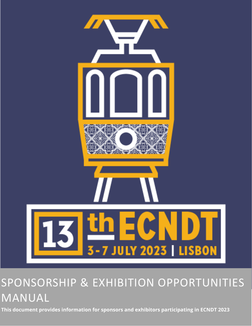

# SPONSORSHIP & EXHIBITION OPPORTUNITIES MANUAL

**This document provides information for sponsors and exhibitors participating in ECNDT 2023**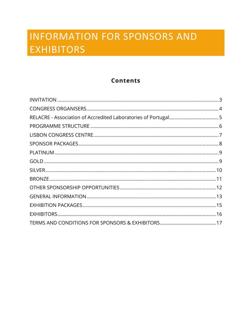# **INFORMATION FOR SPONSORS AND EXHIBITORS**

## **Contents**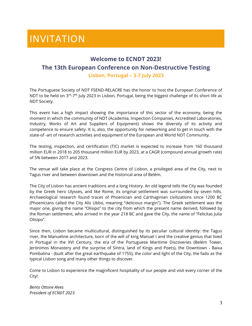## INVITATION

#### **Welcome to ECNDT 2023!**

#### **The 13th European Conference on Non-Destructive Testing**

**Lisbon, Portugal – 3-7 July 2023**

The Portuguese Society of NDT FSEND-RELACRE has the honor to host the European Conference of NDT to be held on 3<sup>rd</sup>-7<sup>th</sup> July 2023 in Lisbon, Portugal, being the biggest challenge of its short life as NDT Society.

This event has a high impact showing the importance of this sector of the economy, being the moment in which the community of NDT (Academia, Inspection Companies, Accredited Laboratories, Industry, Works of Art and Suppliers of Equipment) shows the diversity of its activity and competence to ensure safety. It is, also, the opportunity for networking and to get in touch with the state-of -art of research activities and equipment of the European and World NDT Community.

The testing, inspection, and certification (TIC) market is expected to increase from 160 thousand million EUR in 2018 to 205 thousand million EUR by 2023, at a CAGR (compound annual growth rate) of 5% between 2017 and 2023.

The venue will take place at the Congress Centre of Lisbon, a privileged area of the City, next to Tagus river and between downtown and the historical area of Belém.

The City of Lisbon has ancient traditions and a long History. An old legend tells the City was founded by the Greek hero Ulysses, and like Rome, its original settlement was surrounded by seven hills. Archaeological research found traces of Phoenician and Carthaginian civilizations since 1200 BC (Phoenicians called the City Alis Ubbo, meaning "delicious margin"). The Greek settlement was the major one, giving the name "Olisipo" to the city from which the present name derived, followed by the Roman settlement, who arrived in the year 218 BC and gave the City, the name of "Felicitas Julia Olisipo".

Since then, Lisbon became multicultural, distinguished by its peculiar cultural identity: the Tagus river, the Manueline architecture, born of the will of king Manuel I and the creative genius that lived in Portugal in the XVI Century, the era of the Portuguese Maritime Discoveries (Belém Tower, Jerónimos Monastery and the surprise of Sintra, land of Kings and Poets), the Downtown - Baixa Pombalina - (built after the great earthquake of 1755), the color and light of the City, the fado as the typical Lisbon song and many other things to discover.

Come to Lisbon to experience the magnificent hospitality of our people and visit every corner of the City!

*Bento Ottone Alves President of ECNDT 2023*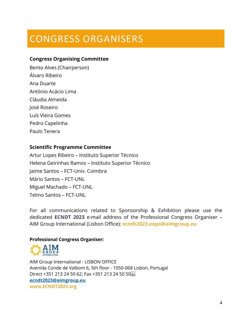# CONGRESS ORGANISERS

#### **Congress Organising Committee**

Bento Alves (Chairperson) Álvaro Ribeiro Ana Duarte António Acácio Lima Cláudia Almeida José Roseiro Luís Vieira Gomes Pedro Capelinha Paulo Tenera

#### **Scientific Programme Committee**

Artur Lopes Ribeiro – Instituto Superior Técnico Helena Geirinhas Ramos – Instituto Superior Técnico Jaime Santos – FCT-Univ. Coimbra Mário Santos – FCT-UNL Miguel Machado – FCT-UNL Telmo Santos – FCT-UNL

For all communications related to Sponsorship & Exhibition please use the dedicated **ECNDT 2023** e-mail address of the Professional Congress Organiser – AIM Group International (Lisbon Office): **ecndt2023.expo@aimgroup.eu**

#### **Professional Congress Organiser:**



AIM Group International - LISBON OFFICE Avenida Conde de Valbom 6, 5th floor - 1050-068 Lisbon, Portugal Direct +351 213 24 50 62; Fax +351 213 24 50 50 **[ecndt2023@aimgroup.eu](mailto:ecndt2023@aimgroup.eu) www.ECNDT2023.org**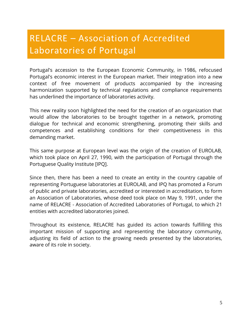## RELACRE – Association of Accredited Laboratories of Portugal

Portugal's accession to the European Economic Community, in 1986, refocused Portugal's economic interest in the European market. Their integration into a new context of free movement of products accompanied by the increasing harmonization supported by technical regulations and compliance requirements has underlined the importance of laboratories activity.

This new reality soon highlighted the need for the creation of an organization that would allow the laboratories to be brought together in a network, promoting dialogue for technical and economic strengthening, promoting their skills and competences and establishing conditions for their competitiveness in this demanding market.

This same purpose at European level was the origin of the creation of EUROLAB, which took place on April 27, 1990, with the participation of Portugal through the Portuguese Quality Institute [IPQ].

Since then, there has been a need to create an entity in the country capable of representing Portuguese laboratories at EUROLAB, and IPQ has promoted a Forum of public and private laboratories, accredited or interested in accreditation, to form an Association of Laboratories, whose deed took place on May 9, 1991, under the name of RELACRE - Association of Accredited Laboratories of Portugal, to which 21 entities with accredited laboratories joined.

Throughout its existence, RELACRE has guided its action towards fulfilling this important mission of supporting and representing the laboratory community, adjusting its field of action to the growing needs presented by the laboratories, aware of its role in society.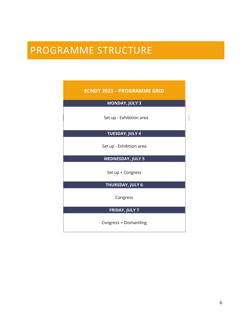## PROGRAMME STRUCTURE

| <b>ECNDT 2023 - PROGRAMME GRID</b> |  |  |
|------------------------------------|--|--|
| <b>MONDAY, JULY 3</b>              |  |  |
| Set up - Exhibition area           |  |  |
| <b>TUESDAY, JULY 4</b>             |  |  |
| Set up - Exhibition area           |  |  |
| <b>WEDNESDAY, JULY 5</b>           |  |  |
| Set up + Congress                  |  |  |
| <b>THURSDAY, JULY 6</b>            |  |  |
| Congress                           |  |  |
| <b>FRIDAY, JULY 7</b>              |  |  |
| Congress + Dismantling             |  |  |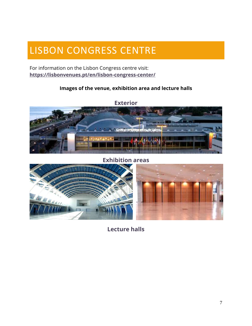## LISBON CONGRESS CENTRE

For information on the Lisbon Congress centre visit: **<https://lisbonvenues.pt/en/lisbon-congress-center/>**

#### **Images of the venue, exhibition area and lecture halls**



**Exhibition areas**



**Lecture halls**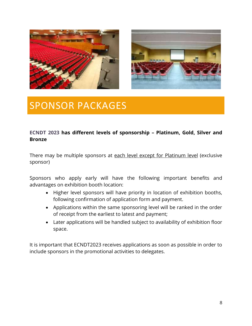



## SPONSOR PACKAGES

#### **ECNDT 2023 has different levels of sponsorship – Platinum, Gold, Silver and Bronze**

There may be multiple sponsors at each level except for Platinum level (exclusive sponsor)

Sponsors who apply early will have the following important benefits and advantages on exhibition booth location:

- Higher level sponsors will have priority in location of exhibition booths, following confirmation of application form and payment.
- Applications within the same sponsoring level will be ranked in the order of receipt from the earliest to latest and payment;
- Later applications will be handled subject to availability of exhibition floor space.

It is important that ECNDT2023 receives applications as soon as possible in order to include sponsors in the promotional activities to delegates.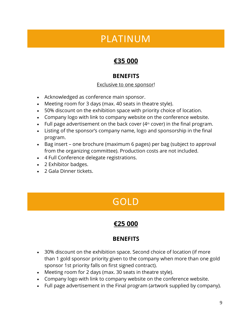## PLATINUM

## **€35 000**

## **BENEFITS**

#### Exclusive to one sponsor!

- Acknowledged as conference main sponsor.
- Meeting room for 3 days (max. 40 seats in theatre style).
- 50% discount on the exhibition space with priority choice of location.
- Company logo with link to company website on the conference website.
- Full page advertisement on the back cover  $(4<sup>th</sup> cover)$  in the final program.
- Listing of the sponsor's company name, logo and sponsorship in the final program.
- Bag insert one brochure (maximum 6 pages) per bag (subject to approval from the organizing committee). Production costs are not included.
- 4 Full Conference delegate registrations.
- 2 Exhibitor badges.
- 2 Gala Dinner tickets.

# GOLD

## **€25 000**

## **BENEFITS**

- 30% discount on the exhibition space. Second choice of location (if more than 1 gold sponsor priority given to the company when more than one gold sponsor 1st priority falls on first signed contract).
- Meeting room for 2 days (max. 30 seats in theatre style).
- Company logo with link to company website on the conference website.
- Full page advertisement in the Final program (artwork supplied by company).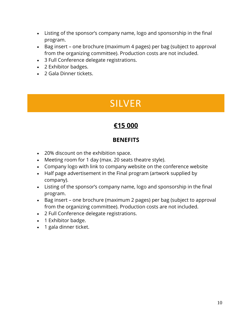- Listing of the sponsor's company name, logo and sponsorship in the final program.
- Bag insert one brochure (maximum 4 pages) per bag (subject to approval from the organizing committee). Production costs are not included.
- 3 Full Conference delegate registrations.
- 2 Exhibitor badges.
- 2 Gala Dinner tickets.

## SILVER

## **€15 000**

#### **BENEFITS**

- 20% discount on the exhibition space.
- Meeting room for 1 day (max. 20 seats theatre style).
- Company logo with link to company website on the conference website
- Half page advertisement in the Final program (artwork supplied by company).
- Listing of the sponsor's company name, logo and sponsorship in the final program.
- Bag insert one brochure (maximum 2 pages) per bag (subject to approval from the organizing committee). Production costs are not included.
- 2 Full Conference delegate registrations.
- 1 Exhibitor badge.
- 1 gala dinner ticket.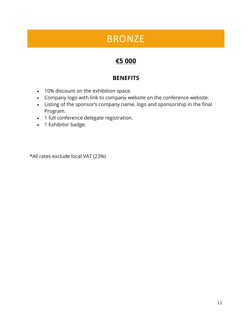## BRONZE

## **€5 000**

### **BENEFITS**

- 10% discount on the exhibition space.
- Company logo with link to company website on the conference website.
- Listing of the sponsor's company name, logo and sponsorship in the final Program.
- 1 full conference delegate registration.
- 1 Exhibitor badge.

\*All rates exclude local VAT (23%)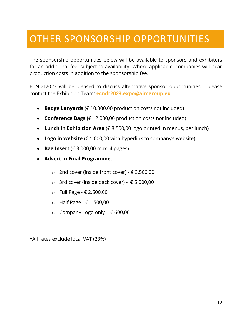## OTHER SPONSORSHIP OPPORTUNITIES

The sponsorship opportunities below will be available to sponsors and exhibitors for an additional fee, subject to availability. Where applicable, companies will bear production costs in addition to the sponsorship fee.

ECNDT2023 will be pleased to discuss alternative sponsor opportunities – please contact the Exhibition Team: **ecndt2023.expo@aimgroup.eu**

- **Badge Lanyards** (€ 10.000,00 production costs not included)
- **Conference Bags (**€ 12.000,00 production costs not included)
- **Lunch in Exhibition Area** (€ 8.500,00 logo printed in menus, per lunch)
- Logo in website  $(E 1.000,00$  with hyperlink to company's website)
- **Bag Insert** ( $\in$  3.000,00 max. 4 pages)
- **Advert in Final Programme:**
	- o 2nd cover (inside front cover) € 3.500,00
	- o 3rd cover (inside back cover)  $€ 5.000,00$
	- o Full Page € 2.500,00
	- o Half Page € 1.500,00
	- o Company Logo only € 600,00

\*All rates exclude local VAT (23%)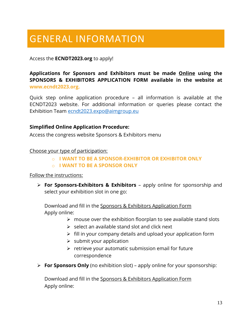# GENERAL INFORMATION

#### Access the **ECNDT2023.org** to apply!

**Applications for Sponsors and Exhibitors must be made Online using the SPONSORS & EXHIBITORS APPLICATION FORM available in the website at www.ecndt2023.org.**

Quick step online application procedure – all information is available at the ECNDT2023 website. For additional information or queries please contact the Exhibition Team [ecndt2023.expo@aimgroup.eu](mailto:ecndt2023.expo@aimgroup.eu)

#### **Simplified Online Application Procedure:**

Access the congress website Sponsors & Exhibitors menu

#### Choose your type of participation:

- o **I WANT TO BE A SPONSOR-EXHIBITOR OR EXHIBITOR ONLY**
- o **I WANT TO BE A SPONSOR ONLY**

#### Follow the instructions:

➢ **For Sponsors-Exhibitors & Exhibitors** – apply online for sponsorship and select your exhibition slot in one go:

Download and fill in the Sponsors & Exhibitors Application Form Apply online:

- $\triangleright$  mouse over the exhibition floorplan to see available stand slots
- $\triangleright$  select an available stand slot and click next
- $\triangleright$  fill in your company details and upload your application form
- $\triangleright$  submit your application
- $\triangleright$  retrieve your automatic submission email for future correspondence
- ➢ **For Sponsors Only** (no exhibition slot) apply online for your sponsorship:

Download and fill in the Sponsors & Exhibitors Application Form Apply online: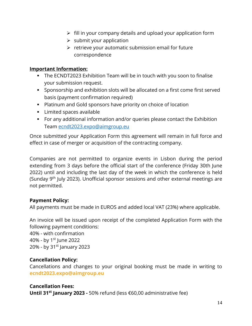- $\triangleright$  fill in your company details and upload your application form
- $\triangleright$  submit your application
- ➢ retrieve your automatic submission email for future correspondence

#### **Important Information:**

- The ECNDT2023 Exhibition Team will be in touch with you soon to finalise your submission request.
- Sponsorship and exhibition slots will be allocated on a first come first served basis (payment confirmation required)
- Platinum and Gold sponsors have priority on choice of location
- Limited spaces available
- For any additional information and/or queries please contact the Exhibition Team [ecndt2023.expo@aimgroup.eu](mailto:ecndt2023.expo@aimgroup.eu)

Once submitted your Application Form this agreement will remain in full force and effect in case of merger or acquisition of the contracting company.

Companies are not permitted to organize events in Lisbon during the period extending from 3 days before the official start of the conference (Friday 30th June 2022) until and including the last day of the week in which the conference is held (Sunday 9<sup>th</sup> July 2023). Unofficial sponsor sessions and other external meetings are not permitted.

#### **Payment Policy:**

All payments must be made in EUROS and added local VAT (23%) where applicable.

An invoice will be issued upon receipt of the completed Application Form with the following payment conditions:

40% - with confirmation 40% - by  $1^{st}$  June 2022 20% - by 31<sup>st</sup> January 2023

#### **Cancellation Policy:**

Cancellations and changes to your original booking must be made in writing to **ecndt2023.expo@aimgroup.eu**

#### **Cancellation Fees:**

**Until 31st January 2023 -** 50% refund (less €60,00 administrative fee)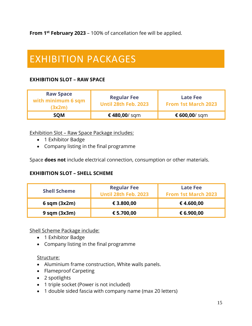**From 1st February 2023** – 100% of cancellation fee will be applied.

# EXHIBITION PACKAGES

#### **EXHIBITION SLOT – RAW SPACE**

| <b>Raw Space</b><br>with minimum 6 sqm<br>(3x2m) | <b>Regular Fee</b><br><b>Until 28th Feb. 2023</b> | <b>Late Fee</b><br><b>From 1st March 2023</b> |
|--------------------------------------------------|---------------------------------------------------|-----------------------------------------------|
| <b>SOM</b>                                       | € 480,00/ sqm                                     | € 600,00/ sqm                                 |

#### Exhibition Slot – Raw Space Package includes:

- 1 Exhibitor Badge
- Company listing in the final programme

Space **does not** include electrical connection, consumption or other materials.

#### **EXHIBITION SLOT – SHELL SCHEME**

| <b>Shell Scheme</b> | <b>Regular Fee</b><br><b>Until 28th Feb. 2023</b> | Late Fee<br><b>From 1st March 2023</b> |
|---------------------|---------------------------------------------------|----------------------------------------|
| $6$ sqm $(3x2m)$    | € 3.800,00                                        | €4.600,00                              |
| $9$ sqm $(3x3m)$    | € 5.700,00                                        | € 6.900,00                             |

Shell Scheme Package include:

- 1 Exhibitor Badge
- Company listing in the final programme

#### Structure:

- Aluminium frame construction, White walls panels.
- Flameproof Carpeting
- 2 spotlights
- 1 triple socket (Power is not included)
- 1 double sided fascia with company name (max 20 letters)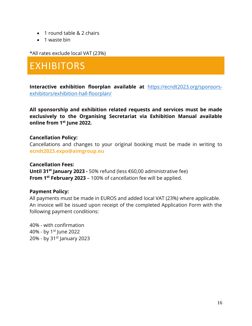- 1 round table & 2 chairs
- 1 waste bin

\*All rates exclude local VAT (23%)

## EXHIBITORS

**Interactive exhibition floorplan available at** [https://ecndt2023.org/sponsors](https://ecndt2023.org/sponsors-exhibitors/exhibition-hall-floorplan/)[exhibitors/exhibition-hall-floorplan/](https://ecndt2023.org/sponsors-exhibitors/exhibition-hall-floorplan/)

**All sponsorship and exhibition related requests and services must be made exclusively to the Organising Secretariat via Exhibition Manual available online from 1st June 2022.**

#### **Cancellation Policy:**

Cancellations and changes to your original booking must be made in writing to **ecndt2023.expo@aimgroup.eu**

#### **Cancellation Fees:**

**Until 31st January 2023 -** 50% refund (less €60,00 administrative fee) **From 1st February 2023** – 100% of cancellation fee will be applied.

#### **Payment Policy:**

All payments must be made in EUROS and added local VAT (23%) where applicable. An invoice will be issued upon receipt of the completed Application Form with the following payment conditions:

40% - with confirmation 40% - by  $1^{st}$  June 2022 20% - by 31<sup>st</sup> January 2023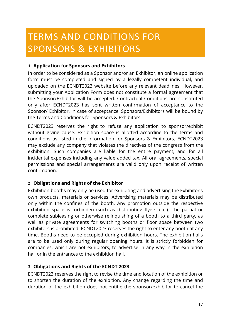# TERMS AND CONDITIONS FOR SPONSORS & EXHIBITORS

#### **1. Application for Sponsors and Exhibitors**

In order to be considered as a Sponsor and/or an Exhibitor, an online application form must be completed and signed by a legally competent individual, and uploaded on the ECNDT2023 website before any relevant deadlines. However, submitting your Application Form does not constitute a formal agreement that the Sponsor/Exhibitor will be accepted. Contractual Conditions are constituted only after ECNDT2023 has sent written confirmation of acceptance to the Sponsor/ Exhibitor. In case of acceptance, Sponsors/Exhibitors will be bound by the Terms and Conditions for Sponsors & Exhibitors.

ECNDT2023 reserves the right to refuse any application to sponsor/exhibit without giving cause. Exhibition space is allotted according to the terms and conditions as listed in the Information for Sponsors & Exhibitors. ECNDT2023 may exclude any company that violates the directives of the congress from the exhibition. Such companies are liable for the entire payment, and for all incidental expenses including any value added tax. All oral agreements, special permissions and special arrangements are valid only upon receipt of written confirmation.

#### **2. Obligations and Rights of the Exhibitor**

Exhibition booths may only be used for exhibiting and advertising the Exhibitor's own products, materials or services. Advertising materials may be distributed only within the confines of the booth. Any promotion outside the respective exhibition space is forbidden (such as distributing flyers etc.). The partial or complete subleasing or otherwise relinquishing of a booth to a third party, as well as private agreements for switching booths or floor space between two exhibitors is prohibited. ECNDT2023 reserves the right to enter any booth at any time. Booths need to be occupied during exhibition hours. The exhibition halls are to be used only during regular opening hours. It is strictly forbidden for companies, which are not exhibitors, to advertise in any way in the exhibition hall or in the entrances to the exhibition hall.

#### **3. Obligations and Rights of the ECNDT 2023**

ECNDT2023 reserves the right to revise the time and location of the exhibition or to shorten the duration of the exhibition. Any change regarding the time and duration of the exhibition does not entitle the sponsor/exhibitor to cancel the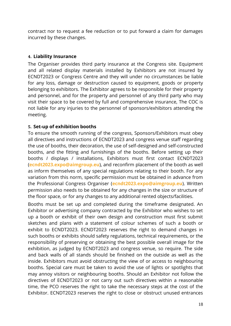contract nor to request a fee reduction or to put forward a claim for damages incurred by these changes.

#### **4. Liability Insurance**

The Organiser provides third party insurance at the Congress site. Equipment and all related display materials installed by Exhibitors are not insured by ECNDT2023 or Congress Centre and they will under no circumstances be liable for any loss, damage or destruction caused to equipment, goods or property belonging to exhibitors. The Exhibitor agrees to be responsible for their property and personnel, and for the property and personnel of any third party who may visit their space to be covered by full and comprehensive insurance, The COC is not liable for any injuries to the personnel of sponsors/exhibitors attending the meeting.

#### **5. Set-up of exhibition booths**

To ensure the smooth running of the congress, Sponsors/Exhibitors must obey all directives and instructions of ECNDT2023 and congress venue staff regarding the use of booths, their decoration, the use of self-designed and self-constructed booths, and the fitting and furnishings of the booths. Before setting up their booths *I* displays / installations, Exhibitors must first contact ECNDT2023 (**ecndt2023.expo@aimgroup.eu**), and reconfirm placement of the booth as well as inform themselves of any special regulations relating to their booth. For any variation from this norm, specific permission must be obtained in advance from the Professional Congress Organiser (**ecndt2023.expo@aimgroup.eu**). Written permission also needs to be obtained for any changes in the size or structure of the floor space, or for any changes to any additional rented objects/facilities.

Booths must be set up and completed during the timeframe designated. An Exhibitor or advertising company contracted by the Exhibitor who wishes to set up a booth or exhibit of their own design and construction must first submit sketches and plans with a statement of colour schemes of such a booth or exhibit to ECNDT2023. ECNDT2023 reserves the right to demand changes in such booths or exhibits should safety regulations, technical requirements, or the responsibility of preserving or obtaining the best possible overall image for the exhibition, as judged by ECNDT2023 and congress venue, so require. The side and back walls of all stands should be finished on the outside as well as the inside. Exhibitors must avoid obstructing the view of or access to neighbouring booths. Special care must be taken to avoid the use of lights or spotlights that may annoy visitors or neighbouring booths. Should an Exhibitor not follow the directives of ECNDT2023 or not carry out such directives within a reasonable time, the PCO reserves the right to take the necessary steps at the cost of the Exhibitor. ECNDT2023 reserves the right to close or obstruct unused entrances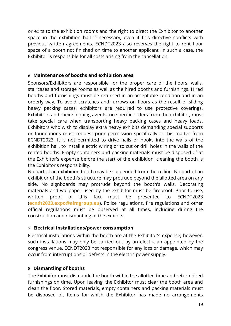or exits to the exhibition rooms and the right to direct the Exhibitor to another space in the exhibition hall if necessary, even if this directive conflicts with previous written agreements. ECNDT2023 also reserves the right to rent floor space of a booth not finished on time to another applicant. In such a case, the Exhibitor is responsible for all costs arising from the cancellation.

#### **6. Maintenance of booths and exhibition area**

Sponsors/Exhibitors are responsible for the proper care of the floors, walls, staircases and storage rooms as well as the hired booths and furnishings. Hired booths and furnishings must be returned in an acceptable condition and in an orderly way. To avoid scratches and furrows on floors as the result of sliding heavy packing cases, exhibitors are required to use protective coverings. Exhibitors and their shipping agents, on specific orders from the exhibitor, must take special care when transporting heavy packing cases and heavy loads. Exhibitors who wish to display extra heavy exhibits demanding special supports or foundations must request prior permission specifically in this matter from ECNDT2023. It is not permitted to drive nails or hooks into the walls of the exhibition hall, to install electric wiring or to cut or drill holes in the walls of the rented booths. Empty containers and packing materials must be disposed of at the Exhibitor's expense before the start of the exhibition; cleaning the booth is the Exhibitor's responsibility.

No part of an exhibition booth may be suspended from the ceiling. No part of an exhibit or of the booth's structure may protrude beyond the allotted area on any side. No signboards may protrude beyond the booth's walls. Decorating materials and wallpaper used by the exhibitor must be fireproof. Prior to use, written proof of this fact must be presented to ECNDT2023 (**ecndt2023.expo@aimgroup.eu**). Police regulations, fire regulations and other official regulations must be observed at all times, including during the construction and dismantling of the exhibits.

#### **7. Electrical installations/power consumption**

Electrical installations within the booth are at the Exhibitor's expense; however, such installations may only be carried out by an electrician appointed by the congress venue. ECNDT2023 not responsible for any loss or damage, which may occur from interruptions or defects in the electric power supply.

#### **8. Dismantling of booths**

The Exhibitor must dismantle the booth within the allotted time and return hired furnishings on time. Upon leaving, the Exhibitor must clear the booth area and clean the floor. Stored materials, empty containers and packing materials must be disposed of. Items for which the Exhibitor has made no arrangements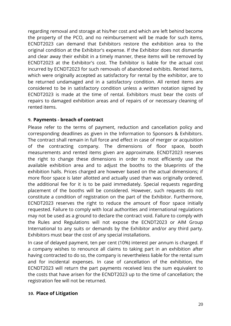regarding removal and storage at his/her cost and which are left behind become the property of the PCO, and no reimbursement will be made for such items, ECNDT2023 can demand that Exhibitors restore the exhibition area to the original condition at the Exhibitor's expense. If the Exhibitor does not dismantle and clear away their exhibit in a timely manner, these items will be removed by ECNDT2023 at the Exhibitor's cost. The Exhibitor is liable for the actual cost incurred by ECNDT2023 for such removals of abandoned exhibits. Rented items, which were originally accepted as satisfactory for rental by the exhibitor, are to be returned undamaged and in a satisfactory condition. All rented items are considered to be in satisfactory condition unless a written notation signed by ECNDT2023 is made at the time of rental. Exhibitors must bear the costs of repairs to damaged exhibition areas and of repairs of or necessary cleaning of rented items.

#### **9. Payments - breach of contract**

Please refer to the terms of payment, reduction and cancellation policy and corresponding deadlines as given in the Information to Sponsors & Exhibitors. The contract shall remain in full force and effect in case of merger or acquisition of the contracting company. The dimensions of floor space, booth measurements and rented items given are approximate. ECNDT2023 reserves the right to change these dimensions in order to most efficiently use the available exhibition area and to adjust the booths to the blueprints of the exhibition halls. Prices charged are however based on the actual dimensions; if more floor space is later allotted and actually used than was originally ordered, the additional fee for it is to be paid immediately. Special requests regarding placement of the booths will be considered. However, such requests do not constitute a condition of registration on the part of the Exhibitor. Furthermore, ECNDT2023 reserves the right to reduce the amount of floor space initially requested. Failure to comply with local authorities and international regulations may not be used as a ground to declare the contract void. Failure to comply with the Rules and Regulations will not expose the ECNDT2023 or AIM Group International to any suits or demands by the Exhibitor and/or any third party. Exhibitors must bear the cost of any special installations.

In case of delayed payment, ten per cent (10%) interest per annum is charged. If a company wishes to renounce all claims to taking part in an exhibition after having contracted to do so, the company is nevertheless liable for the rental sum and for incidental expenses. In case of cancellation of the exhibition, the ECNDT2023 will return the part payments received less the sum equivalent to the costs that have arisen for the ECNDT2023 up to the time of cancellation; the registration fee will not be returned.

#### **10. Place of Litigation**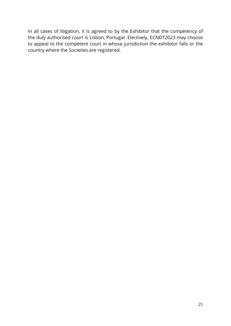In all cases of litigation, it is agreed to by the Exhibitor that the competency of the duly authorised court is Lisbon, Portugal. Electively, ECNDT2023 may choose to appeal to the competent court in whose jurisdiction the exhibitor falls or the country where the Societies are registered.